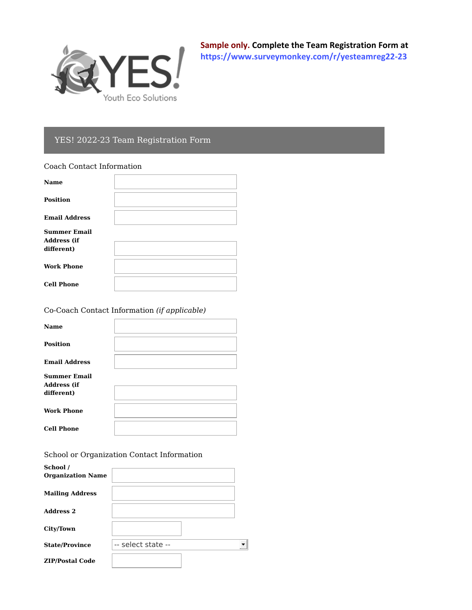

**Sample only. Complete the Team Registration Form at <https://www.surveymonkey.com/r/yesteamreg22-23>**

## YES! 2022-23 Team Registration Form

## Coach Contact Information

| <b>Name</b>                                             |  |
|---------------------------------------------------------|--|
| <b>Position</b>                                         |  |
| <b>Email Address</b>                                    |  |
| <b>Summer Email</b><br><b>Address (if</b><br>different) |  |
| <b>Work Phone</b>                                       |  |
| <b>Cell Phone</b>                                       |  |

Co-Coach Contact Information *(if applicable)*

| <b>Name</b>                                             |  |
|---------------------------------------------------------|--|
| <b>Position</b>                                         |  |
| <b>Email Address</b>                                    |  |
| <b>Summer Email</b><br><b>Address (if</b><br>different) |  |
| <b>Work Phone</b>                                       |  |
| <b>Cell Phone</b>                                       |  |

School or Organization Contact Information

| School /<br><b>Organization Name</b> |                    |  |
|--------------------------------------|--------------------|--|
| <b>Mailing Address</b>               |                    |  |
| <b>Address 2</b>                     |                    |  |
| City/Town                            |                    |  |
| <b>State/Province</b>                | -- select state -- |  |
| <b>ZIP/Postal Code</b>               |                    |  |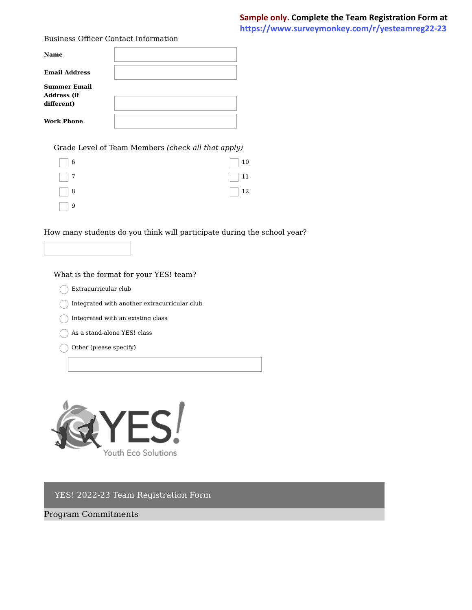Business Officer Contact Information

| <b>Name</b>                                             |  |
|---------------------------------------------------------|--|
| <b>Email Address</b>                                    |  |
| <b>Summer Email</b><br><b>Address (if</b><br>different) |  |
| <b>Work Phone</b>                                       |  |

Grade Level of Team Members (check all that apply)

| $\Box$ 6 | $\Box$ 10 |
|----------|-----------|
| $\Box$ 7 | $\Box$ 11 |
| $\Box$ 8 | $\Box$ 12 |
|          |           |

How many students do you think will participate during the school year?

What is the format for your YES! team?

- $\bigcap$  Extracurricular club
- $\bigcap$  Integrated with another extracurricular club
- $\bigcap$  Integrated with an existing class
- $\bigcap$  As a stand-alone YES! class
- $\bigcirc$  Other (please specify)



YES! 2022-23 Team Registration Form

Program Commitments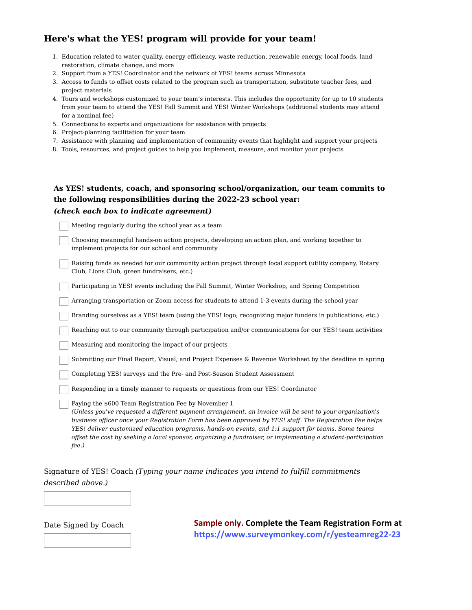## Here's what the YES! program will provide for your team!

- 1. Education related to water quality, energy efficiency, waste reduction, renewable energy, local foods, land restoration, climate change, and more
- 2. Support from a YES! Coordinator and the network of YES! teams across Minnesota
- 3. Access to funds to offset costs related to the program such as transportation, substitute teacher fees, and project materials
- 4. Tours and workshops customized to your team's interests. This includes the opportunity for up to 10 students from your team to attend the YES! Fall Summit and YES! Winter Workshops (additional students may attend for a nominal fee)
- 5. Connections to experts and organizations for assistance with projects
- 6. Project-planning facilitation for your team
- 7. Assistance with planning and implementation of community events that highlight and support your projects
- 8. Tools, resources, and project guides to help you implement, measure, and monitor your projects

## As YES! students, coach, and sponsoring school/organization, our team commits to the following responsibilities during the 2022-23 school year: *(check each box to indicate agreement)*

Meeting regularly during the school year as a team Choosing meaningful hands-on action projects, developing an action plan, and working together to implement projects for our school and community Raising funds as needed for our community action project through local support (utility company, Rotary Club, Lions Club, green fundraisers, etc.) Participating in YES! events including the Fall Summit, Winter Workshop, and Spring Competition Arranging transportation or Zoom access for students to attend 1-3 events during the school year Branding ourselves as a YES! team (using the YES! logo; recognizing major funders in publications; etc.) Reaching out to our community through participation and/or communications for our YES! team activities Measuring and monitoring the impact of our projects Submitting our Final Report, Visual, and Project Expenses & Revenue Worksheet by the deadline in spring Completing YES! surveys and the Pre- and Post-Season Student Assessment Responding in a timely manner to requests or questions from our YES! Coordinator Paying the \$600 Team Registration Fee by November 1 *(Unless you've requested a different payment arrangement, an invoice will be sent to your organization's business officer once your Registration Form has been approved by YES! staff. The Registration Fee helps YES! deliver customized education programs, hands-on events, and 1:1 support for teams. Some teams offset the cost by seeking a local sponsor, organizing a fundraiser, or implementing a student-participation fee.)*

Signature of YES! Coach *(Typing your name indicates you intend to fulfill commitments described above.)*

Date Signed by Coach **Sample only. Complete the Team Registration Form at https://www.surveymonkey.com/r/yesteamreg22-23**